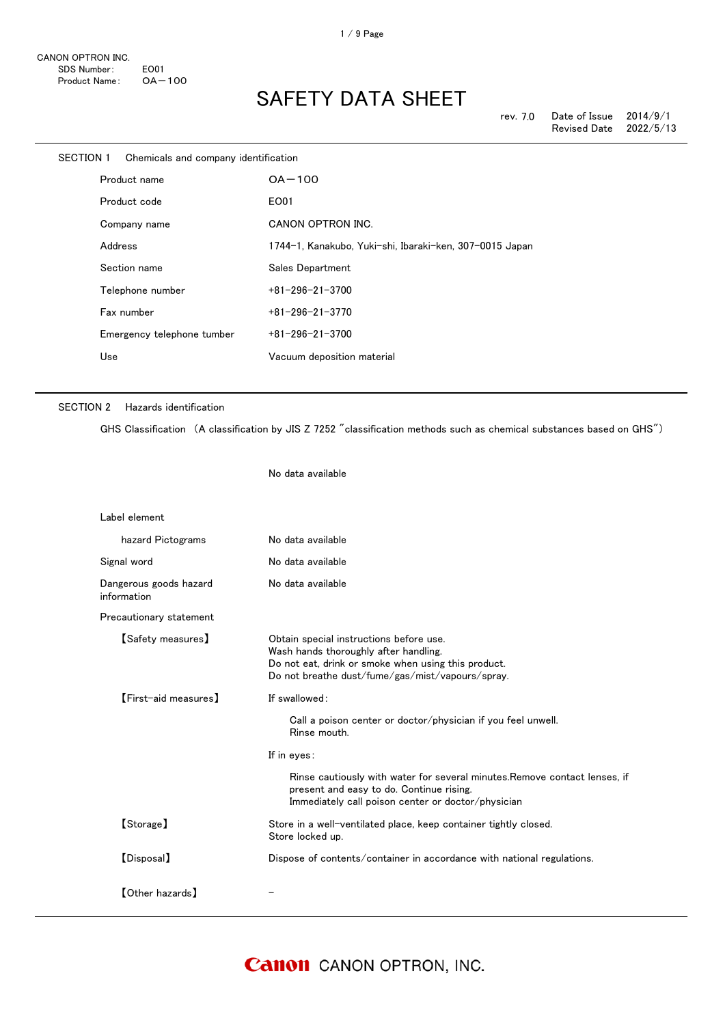| SECTION 1    | Chemicals and company identification |                                                         |
|--------------|--------------------------------------|---------------------------------------------------------|
| Product name |                                      | $OA-100$                                                |
|              | Product code                         | EO01                                                    |
|              | Company name                         | CANON OPTRON INC.                                       |
|              | Address                              | 1744-1, Kanakubo, Yuki-shi, Ibaraki-ken, 307-0015 Japan |
|              | Section name                         | Sales Department                                        |
|              | Telephone number                     | $+81 - 296 - 21 - 3700$                                 |
|              | Fax number                           | $+81 - 296 - 21 - 3770$                                 |
|              | Emergency telephone tumber           | $+81 - 296 - 21 - 3700$                                 |
|              | Use                                  | Vacuum deposition material                              |
|              |                                      |                                                         |

### SECTION 2 Hazards identification

GHS Classification (A classification by JIS Z 7252 "classification methods such as chemical substances based on GHS")

No data available

| Label element                         |                                                                                                                                                                                             |  |
|---------------------------------------|---------------------------------------------------------------------------------------------------------------------------------------------------------------------------------------------|--|
| hazard Pictograms                     | No data available                                                                                                                                                                           |  |
| Signal word                           | No data available                                                                                                                                                                           |  |
| Dangerous goods hazard<br>information | No data available                                                                                                                                                                           |  |
| Precautionary statement               |                                                                                                                                                                                             |  |
| [Safety measures]                     | Obtain special instructions before use.<br>Wash hands thoroughly after handling.<br>Do not eat, drink or smoke when using this product.<br>Do not breathe dust/fume/gas/mist/vapours/spray. |  |
| [First-aid measures]                  | If swallowed:                                                                                                                                                                               |  |
|                                       | Call a poison center or doctor/physician if you feel unwell.<br>Rinse mouth.                                                                                                                |  |
|                                       | If in eyes:                                                                                                                                                                                 |  |
|                                       | Rinse cautiously with water for several minutes. Remove contact lenses, if<br>present and easy to do. Continue rising.<br>Immediately call poison center or doctor/physician                |  |
| [Storage]                             | Store in a well-ventilated place, keep container tightly closed.<br>Store locked up.                                                                                                        |  |
| [Disposal]                            | Dispose of contents/container in accordance with national regulations.                                                                                                                      |  |
| 【Other hazards】                       |                                                                                                                                                                                             |  |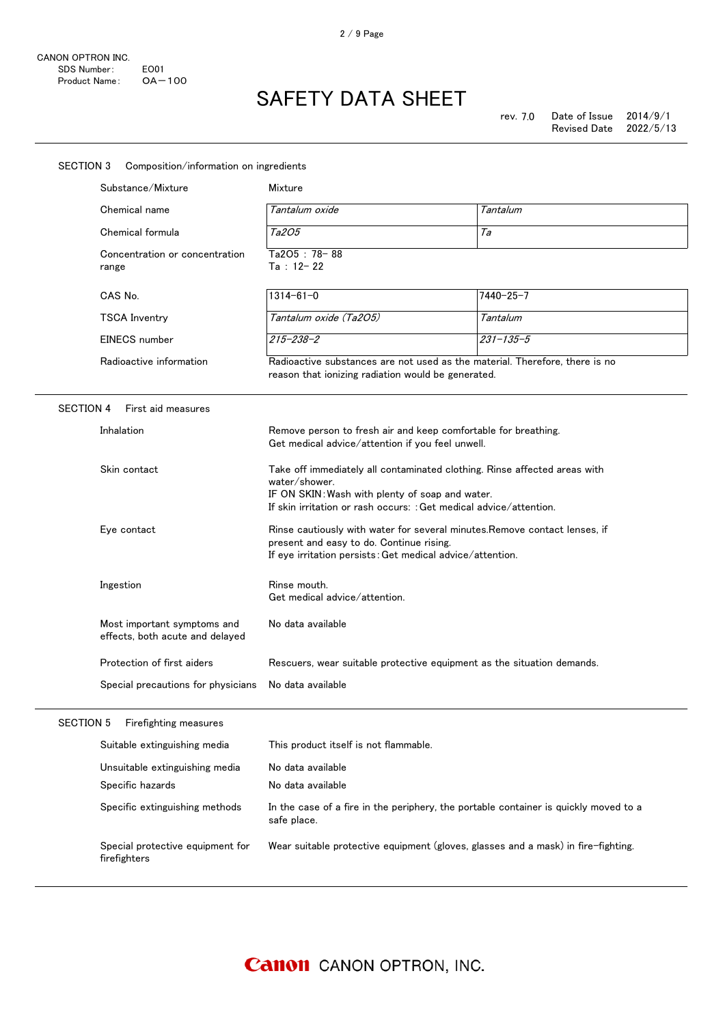| <b>SECTION 3</b><br>Composition/information on ingredients |                                                                                                                                  |                                                                                                                                                                                                                                                                                                                                                                                                            |                 |  |
|------------------------------------------------------------|----------------------------------------------------------------------------------------------------------------------------------|------------------------------------------------------------------------------------------------------------------------------------------------------------------------------------------------------------------------------------------------------------------------------------------------------------------------------------------------------------------------------------------------------------|-----------------|--|
|                                                            | Substance/Mixture                                                                                                                | Mixture                                                                                                                                                                                                                                                                                                                                                                                                    |                 |  |
|                                                            | Chemical name                                                                                                                    | Tantalum oxide                                                                                                                                                                                                                                                                                                                                                                                             | Tantalum        |  |
|                                                            | Chemical formula                                                                                                                 | <i>Ta2O5</i>                                                                                                                                                                                                                                                                                                                                                                                               | Та              |  |
|                                                            | Concentration or concentration<br>range                                                                                          | Ta2O5: 78-88<br>$Ta : 12 - 22$                                                                                                                                                                                                                                                                                                                                                                             |                 |  |
|                                                            | CAS No.                                                                                                                          | $1314 - 61 - 0$                                                                                                                                                                                                                                                                                                                                                                                            | $7440 - 25 - 7$ |  |
|                                                            | <b>TSCA Inventry</b>                                                                                                             | Tantalum oxide (Ta2O5)                                                                                                                                                                                                                                                                                                                                                                                     | Tantalum        |  |
|                                                            | EINECS number                                                                                                                    | $215 - 238 - 2$                                                                                                                                                                                                                                                                                                                                                                                            | $231 - 135 - 5$ |  |
|                                                            | Radioactive information                                                                                                          | Radioactive substances are not used as the material. Therefore, there is no<br>reason that ionizing radiation would be generated.                                                                                                                                                                                                                                                                          |                 |  |
| <b>SECTION 4</b>                                           | First aid measures                                                                                                               |                                                                                                                                                                                                                                                                                                                                                                                                            |                 |  |
|                                                            | Inhalation<br>Remove person to fresh air and keep comfortable for breathing.<br>Get medical advice/attention if you feel unwell. |                                                                                                                                                                                                                                                                                                                                                                                                            |                 |  |
|                                                            | Skin contact                                                                                                                     | Take off immediately all contaminated clothing. Rinse affected areas with<br>water/shower.<br>IF ON SKIN: Wash with plenty of soap and water.<br>If skin irritation or rash occurs: : Get medical advice/attention.<br>Rinse cautiously with water for several minutes. Remove contact lenses, if<br>present and easy to do. Continue rising.<br>If eye irritation persists: Get medical advice/attention. |                 |  |
|                                                            | Eye contact                                                                                                                      |                                                                                                                                                                                                                                                                                                                                                                                                            |                 |  |
|                                                            | Ingestion                                                                                                                        | Rinse mouth.<br>Get medical advice/attention.                                                                                                                                                                                                                                                                                                                                                              |                 |  |
|                                                            | Most important symptoms and<br>effects, both acute and delayed                                                                   | No data available                                                                                                                                                                                                                                                                                                                                                                                          |                 |  |
|                                                            | Protection of first aiders                                                                                                       | Rescuers, wear suitable protective equipment as the situation demands.                                                                                                                                                                                                                                                                                                                                     |                 |  |
|                                                            | Special precautions for physicians                                                                                               | No data available                                                                                                                                                                                                                                                                                                                                                                                          |                 |  |
| <b>SECTION 5</b>                                           | Firefighting measures                                                                                                            |                                                                                                                                                                                                                                                                                                                                                                                                            |                 |  |
|                                                            | Suitable extinguishing media                                                                                                     | This product itself is not flammable.                                                                                                                                                                                                                                                                                                                                                                      |                 |  |
|                                                            | Unsuitable extinguishing media                                                                                                   | No data available                                                                                                                                                                                                                                                                                                                                                                                          |                 |  |
|                                                            | Specific hazards                                                                                                                 | No data available                                                                                                                                                                                                                                                                                                                                                                                          |                 |  |
|                                                            | Specific extinguishing methods                                                                                                   | In the case of a fire in the periphery, the portable container is quickly moved to a<br>safe place.                                                                                                                                                                                                                                                                                                        |                 |  |
|                                                            | Special protective equipment for<br>firefighters                                                                                 | Wear suitable protective equipment (gloves, glasses and a mask) in fire-fighting.                                                                                                                                                                                                                                                                                                                          |                 |  |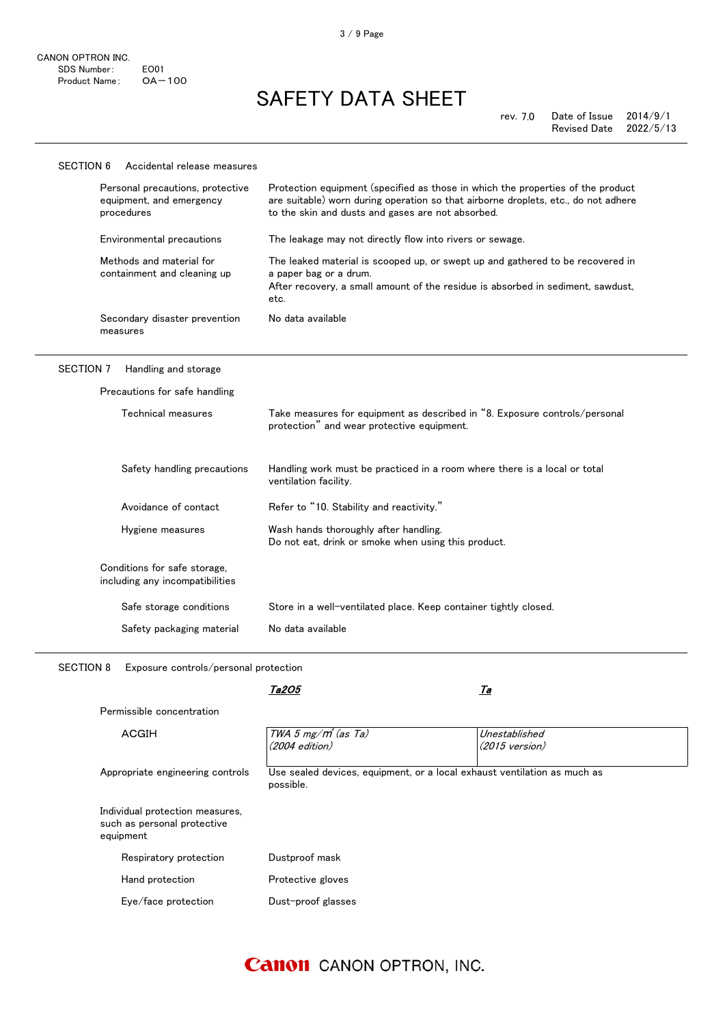$\frac{1}{2}$ 

# SAFETY DATA SHEET

| Protection equipment (specified as those in which the properties of the product<br>are suitable) worn during operation so that airborne droplets, etc., do not adhere<br>to the skin and dusts and gases are not absorbed. |  |  |  |  |
|----------------------------------------------------------------------------------------------------------------------------------------------------------------------------------------------------------------------------|--|--|--|--|
| The leakage may not directly flow into rivers or sewage.                                                                                                                                                                   |  |  |  |  |
| The leaked material is scooped up, or swept up and gathered to be recovered in<br>a paper bag or a drum.<br>After recovery, a small amount of the residue is absorbed in sediment, sawdust,<br>etc.                        |  |  |  |  |
| No data available                                                                                                                                                                                                          |  |  |  |  |
| SECTION 7<br>Handling and storage                                                                                                                                                                                          |  |  |  |  |
|                                                                                                                                                                                                                            |  |  |  |  |
| Take measures for equipment as described in "8. Exposure controls/personal<br>protection" and wear protective equipment.                                                                                                   |  |  |  |  |
| Handling work must be practiced in a room where there is a local or total<br>ventilation facility.                                                                                                                         |  |  |  |  |
| Refer to "10. Stability and reactivity."                                                                                                                                                                                   |  |  |  |  |
| Wash hands thoroughly after handling.<br>Do not eat, drink or smoke when using this product.                                                                                                                               |  |  |  |  |
|                                                                                                                                                                                                                            |  |  |  |  |
| Store in a well-ventilated place. Keep container tightly closed.                                                                                                                                                           |  |  |  |  |
| No data available                                                                                                                                                                                                          |  |  |  |  |
|                                                                                                                                                                                                                            |  |  |  |  |

SECTION 8 Exposure controls/personal protection

|                                                                             | Ta2O5                                                                                 | <u>Ta</u>                                 |
|-----------------------------------------------------------------------------|---------------------------------------------------------------------------------------|-------------------------------------------|
| Permissible concentration                                                   |                                                                                       |                                           |
| ACGIH                                                                       | TWA 5 mg/m <sup>3</sup> (as Ta)<br>$(2004$ edition)                                   | Unestablished<br>$(2015 \text{ version})$ |
| Appropriate engineering controls                                            | Use sealed devices, equipment, or a local exhaust ventilation as much as<br>possible. |                                           |
| Individual protection measures,<br>such as personal protective<br>equipment |                                                                                       |                                           |
| Respiratory protection                                                      | Dustproof mask                                                                        |                                           |
| Hand protection                                                             | Protective gloves                                                                     |                                           |
| Eye/face protection                                                         | Dust-proof glasses                                                                    |                                           |

### **Canon** CANON OPTRON, INC.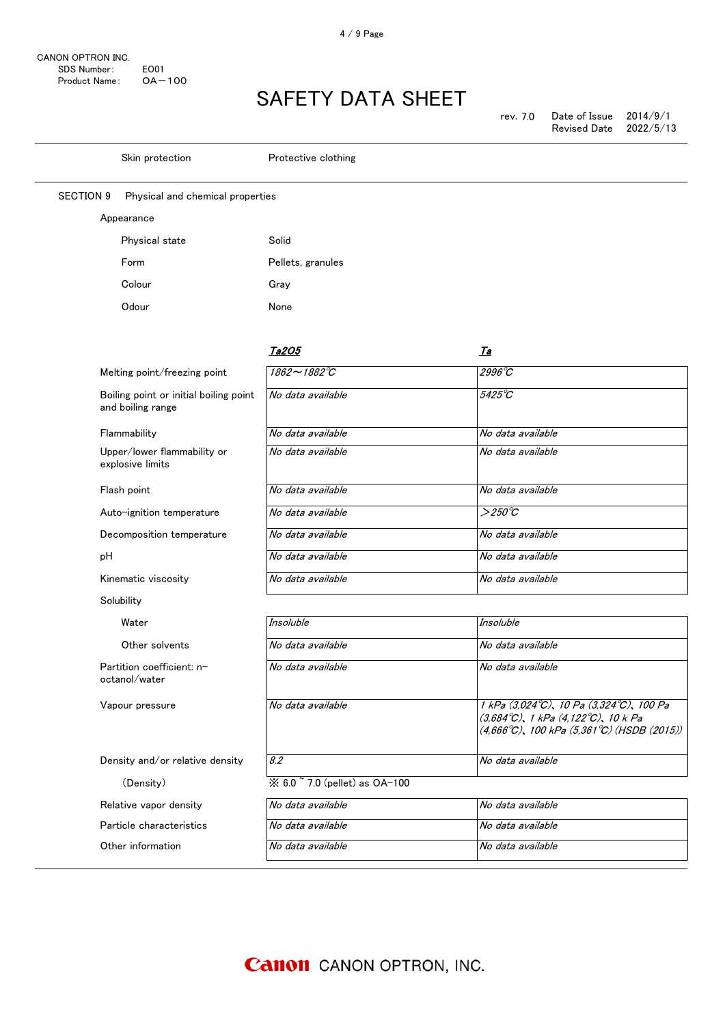| rev. 7.0 | Date of Issue       | 2014/9/1  |
|----------|---------------------|-----------|
|          | <b>Revised Date</b> | 2022/5/13 |

|                  | Skin protection                                             | Protective clothing            |                                                                                                                                                                      |
|------------------|-------------------------------------------------------------|--------------------------------|----------------------------------------------------------------------------------------------------------------------------------------------------------------------|
| <b>SECTION 9</b> | Physical and chemical properties                            |                                |                                                                                                                                                                      |
|                  | Appearance                                                  |                                |                                                                                                                                                                      |
|                  | Physical state                                              | Solid                          |                                                                                                                                                                      |
|                  | Form                                                        | Pellets, granules              |                                                                                                                                                                      |
|                  | Colour                                                      | Gray                           |                                                                                                                                                                      |
|                  | Odour                                                       | None                           |                                                                                                                                                                      |
|                  |                                                             | <u>Ta2O5</u>                   | <u>Ta</u>                                                                                                                                                            |
|                  | Melting point/freezing point                                | 1862~1882°C                    | 2996°C                                                                                                                                                               |
|                  | Boiling point or initial boiling point<br>and boiling range | No data available              | 5425°C                                                                                                                                                               |
|                  | Flammability                                                | No data available              | No data available                                                                                                                                                    |
|                  | Upper/lower flammability or<br>explosive limits             | No data available              | No data available                                                                                                                                                    |
|                  | Flash point                                                 | No data available              | No data available                                                                                                                                                    |
|                  | Auto-ignition temperature                                   | No data available              | $>250^{\circ}C$                                                                                                                                                      |
|                  | Decomposition temperature                                   | No data available              | No data available                                                                                                                                                    |
| рH               |                                                             | No data available              | No data available                                                                                                                                                    |
|                  | Kinematic viscosity                                         | No data available              | No data available                                                                                                                                                    |
|                  | Solubility                                                  |                                |                                                                                                                                                                      |
|                  | Water                                                       | Insoluble                      | Insoluble                                                                                                                                                            |
|                  | Other solvents                                              | No data available              | No data available                                                                                                                                                    |
|                  | Partition coefficient: n-<br>octanol/water                  | No data available              | No data available                                                                                                                                                    |
|                  | Vapour pressure                                             | No data available              | 1 kPa (3,024°C), 10 Pa (3,324°C), 100 Pa<br>$(3,684^{\circ}C)$ , 1 kPa $(4,122^{\circ}C)$ , 10 k Pa<br>$(4,666^{\circ}C)$ , 100 kPa $(5,361^{\circ}C)$ (HSDB (2015)) |
|                  | Density and/or relative density                             | 8.2                            | No data available                                                                                                                                                    |
|                  | (Density)                                                   | ※ 6.0 ~ 7.0 (pellet) as OA-100 |                                                                                                                                                                      |
|                  | Relative vapor density                                      | No data available              | No data available                                                                                                                                                    |
|                  | Particle characteristics                                    | No data available              | No data available                                                                                                                                                    |
|                  | Other information                                           | No data available              | No data available                                                                                                                                                    |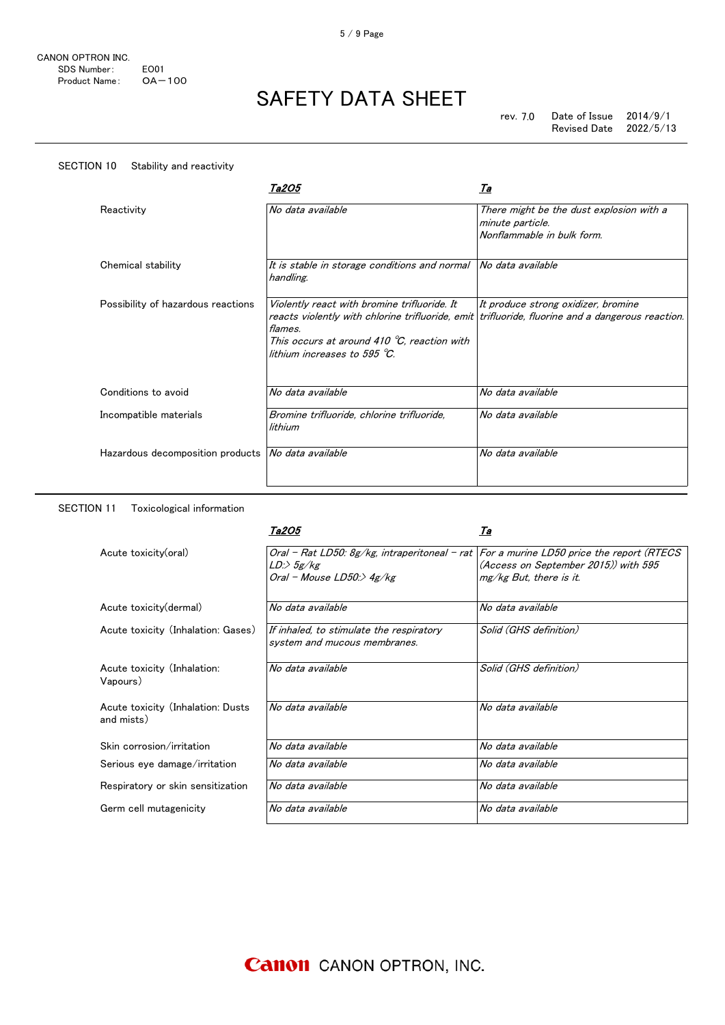| SECTION 10<br>Stability and reactivity               |                                                                                                                                                          |                                                                                                                                         |
|------------------------------------------------------|----------------------------------------------------------------------------------------------------------------------------------------------------------|-----------------------------------------------------------------------------------------------------------------------------------------|
|                                                      | Ta2O5                                                                                                                                                    | <u>Та</u>                                                                                                                               |
| Reactivity                                           | No data available                                                                                                                                        | There might be the dust explosion with a<br>minute particle.<br>Nonflammable in bulk form.                                              |
| Chemical stability                                   | It is stable in storage conditions and normal No data available<br>handling.                                                                             |                                                                                                                                         |
| Possibility of hazardous reactions                   | Violently react with bromine trifluoride. It<br>flames.<br>This occurs at around 410 $\degree$ C, reaction with<br>lithium increases to 595 $\degree$ C. | It produce strong oxidizer, bromine<br>reacts violently with chlorine trifluoride, emit trifluoride, fluorine and a dangerous reaction. |
| Conditions to avoid                                  | No data available                                                                                                                                        | No data available                                                                                                                       |
| Incompatible materials                               | Bromine trifluoride, chlorine trifluoride,<br>lithium                                                                                                    | No data available                                                                                                                       |
| Hazardous decomposition products   No data available |                                                                                                                                                          | No data available                                                                                                                       |

#### SECTION 11 Toxicological information

|                                                 | Ta2O5                                                                                                                                              | Ta                                                                |
|-------------------------------------------------|----------------------------------------------------------------------------------------------------------------------------------------------------|-------------------------------------------------------------------|
| Acute toxicity(oral)                            | Oral - Rat LD50: 8g/kg, intraperitoneal - rat   For a murine LD50 price the report (RTECS<br>$LD \rightarrow 5g/kg$<br>Oral - Mouse LD50:> $4g/kg$ | (Access on September 2015)) with 595<br>$mg/kg$ But, there is it. |
| Acute toxicity (dermal)                         | No data available                                                                                                                                  | No data available                                                 |
| Acute toxicity (Inhalation: Gases)              | If inhaled, to stimulate the respiratory<br>system and mucous membranes.                                                                           | Solid (GHS definition)                                            |
| Acute toxicity (Inhalation:<br>Vapours)         | No data available                                                                                                                                  | Solid (GHS definition)                                            |
| Acute toxicity (Inhalation: Dusts<br>and mists) | No data available                                                                                                                                  | No data available                                                 |
| Skin corrosion/irritation                       | No data available                                                                                                                                  | No data available                                                 |
| Serious eye damage/irritation                   | No data available                                                                                                                                  | No data available                                                 |
| Respiratory or skin sensitization               | No data available                                                                                                                                  | No data available                                                 |
| Germ cell mutagenicity                          | No data available                                                                                                                                  | No data available                                                 |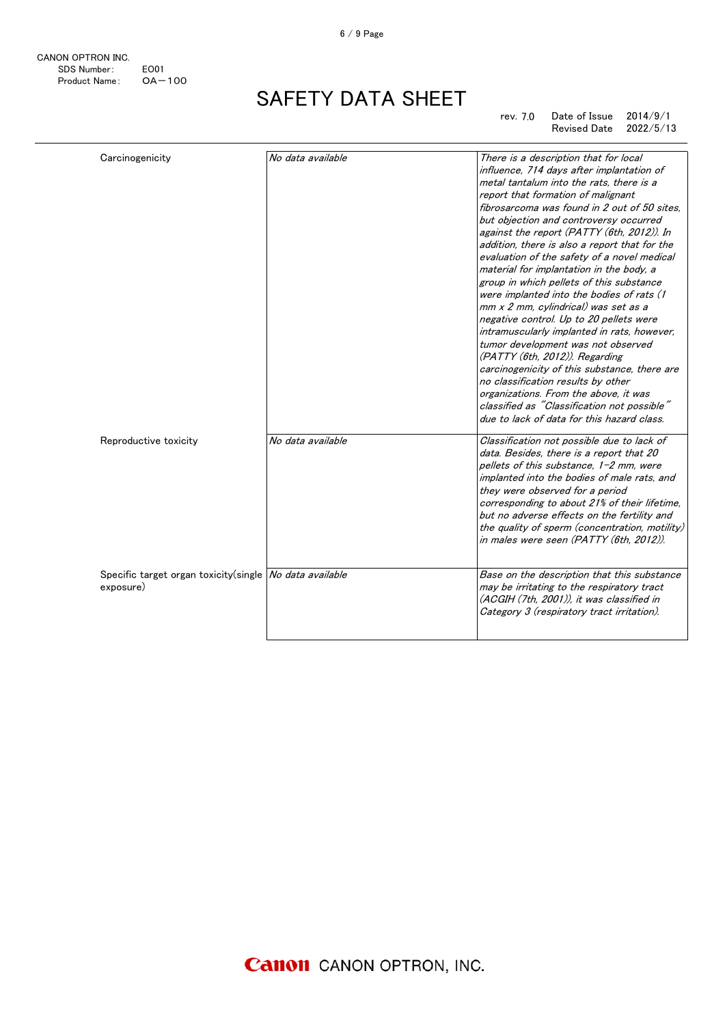| CANON OPTRON INC. |                  |
|-------------------|------------------|
| SDS Number:       | FO <sub>01</sub> |
| Product Name:     | $OA - 100$       |

rev. 7.0 Date of Issue  $2014/9/1$ Revised Date 2022/5/13

| Carcinogenicity                                                      | No data available | There is a description that for local<br>influence, 714 days after implantation of<br>metal tantalum into the rats, there is a<br>report that formation of malignant<br>fibrosarcoma was found in 2 out of 50 sites,<br>but objection and controversy occurred<br>against the report (PATTY (6th, 2012)). In<br>addition, there is also a report that for the<br>evaluation of the safety of a novel medical<br>material for implantation in the body, a<br>group in which pellets of this substance<br>were implanted into the bodies of rats (1<br>mm x 2 mm, cylindrical) was set as a<br>negative control. Up to 20 pellets were<br>intramuscularly implanted in rats, however,<br>tumor development was not observed<br>(PATTY (6th, 2012)). Regarding<br>carcinogenicity of this substance, there are<br>no classification results by other<br>organizations. From the above, it was<br>classified as "Classification not possible"<br>due to lack of data for this hazard class. |
|----------------------------------------------------------------------|-------------------|-----------------------------------------------------------------------------------------------------------------------------------------------------------------------------------------------------------------------------------------------------------------------------------------------------------------------------------------------------------------------------------------------------------------------------------------------------------------------------------------------------------------------------------------------------------------------------------------------------------------------------------------------------------------------------------------------------------------------------------------------------------------------------------------------------------------------------------------------------------------------------------------------------------------------------------------------------------------------------------------|
| Reproductive toxicity                                                | No data available | Classification not possible due to lack of<br>data. Besides, there is a report that 20<br>pellets of this substance, 1-2 mm, were<br>implanted into the bodies of male rats, and<br>they were observed for a period<br>corresponding to about 21% of their lifetime,<br>but no adverse effects on the fertility and<br>the quality of sperm (concentration, motility)<br>in males were seen (PATTY (6th, 2012)).                                                                                                                                                                                                                                                                                                                                                                                                                                                                                                                                                                        |
| Specific target organ toxicity(single No data available<br>exposure) |                   | Base on the description that this substance<br>may be irritating to the respiratory tract<br>(ACGIH (7th, 2001)), it was classified in<br>Category 3 (respiratory tract irritation).                                                                                                                                                                                                                                                                                                                                                                                                                                                                                                                                                                                                                                                                                                                                                                                                    |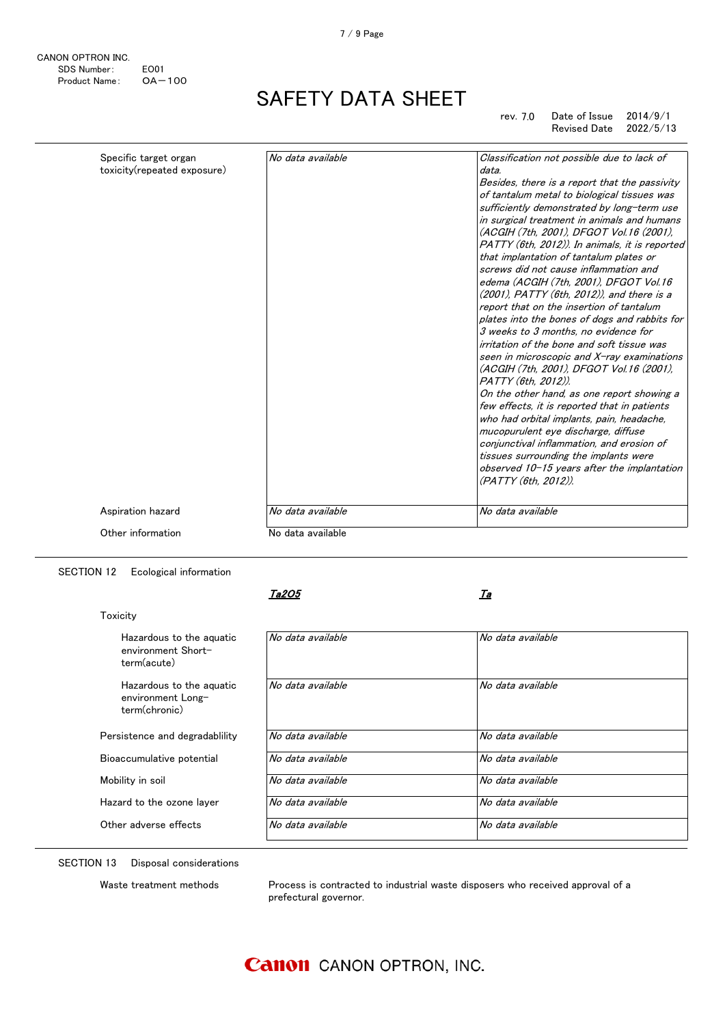| CANON OPTRON INC. |                  |
|-------------------|------------------|
| SDS Number:       | FO <sub>01</sub> |
| Product Name:     | $OA - 100$       |

|                   |                   | edema (ACGIH (7th, 2001), DFGOT Vol.16<br>(2001), PATTY (6th, 2012)), and there is a<br>report that on the insertion of tantalum<br>plates into the bones of dogs and rabbits for<br>3 weeks to 3 months, no evidence for<br>irritation of the bone and soft tissue was<br>seen in microscopic and X-ray examinations<br>(ACGIH (7th, 2001), DFGOT Vol.16 (2001),<br>PATTY (6th. 2012)).<br>On the other hand, as one report showing a<br>few effects, it is reported that in patients<br>who had orbital implants, pain, headache,<br>mucopurulent eye discharge, diffuse<br>conjunctival inflammation, and erosion of<br>tissues surrounding the implants were<br>observed $10-15$ years after the implantation |
|-------------------|-------------------|-------------------------------------------------------------------------------------------------------------------------------------------------------------------------------------------------------------------------------------------------------------------------------------------------------------------------------------------------------------------------------------------------------------------------------------------------------------------------------------------------------------------------------------------------------------------------------------------------------------------------------------------------------------------------------------------------------------------|
| Aspiration hazard | No data available | (PATTY (6th, 2012)).<br>No data available                                                                                                                                                                                                                                                                                                                                                                                                                                                                                                                                                                                                                                                                         |
| Other information | No data available |                                                                                                                                                                                                                                                                                                                                                                                                                                                                                                                                                                                                                                                                                                                   |

SECTION 12 Ecological information

Ta2O5

 $\overline{\phantom{a}}$ 

| Toxicity                                                       |                   |                   |
|----------------------------------------------------------------|-------------------|-------------------|
| Hazardous to the aguatic<br>environment Short-<br>term(acute)  | No data available | No data available |
| Hazardous to the aguatic<br>environment Long-<br>term(chronic) | No data available | No data available |
| Persistence and degradablility                                 | No data available | No data available |
| Bioaccumulative potential                                      | No data available | No data available |
| Mobility in soil                                               | No data available | No data available |
| Hazard to the ozone laver                                      | No data available | No data available |
| Other adverse effects                                          | No data available | No data available |
|                                                                |                   |                   |

SECTION 13 Disposal considerations

Waste treatment methods Process is contracted to industrial waste disposers who received approval of a prefectural governor.

### **Canon** CANON OPTRON, INC.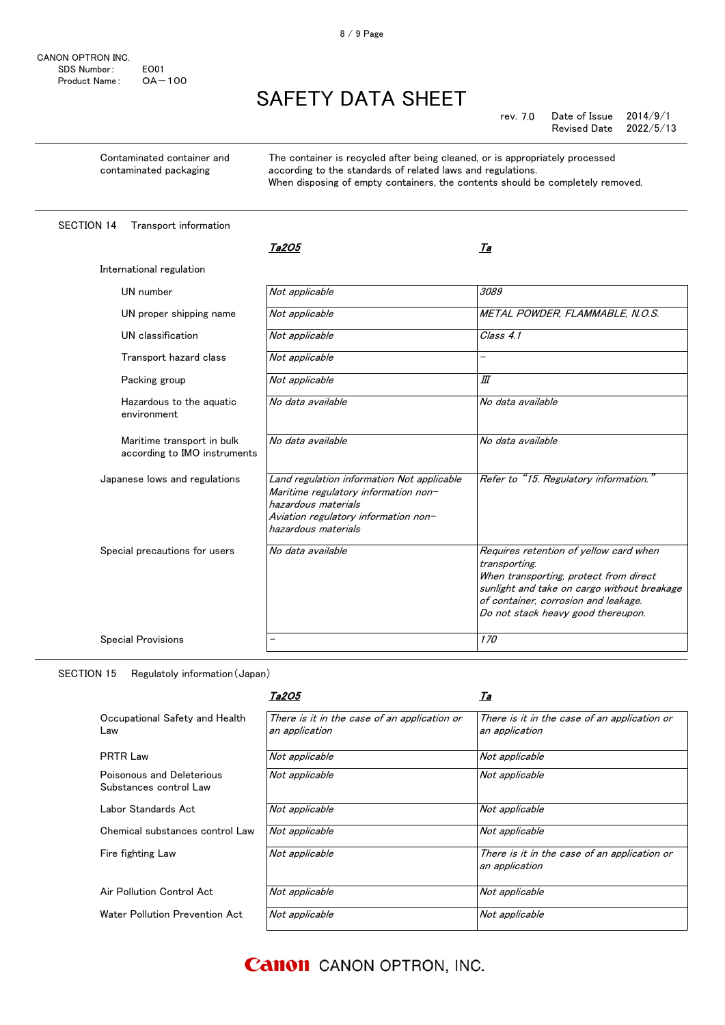Contaminated container and contaminated packaging

The container is recycled after being cleaned, or is appropriately processed according to the standards of related laws and regulations. When disposing of empty containers, the contents should be completely removed.

SECTION 14 Transport information

|                                                            | Ta2O5                                                                                                                                                                    | Та                                                                                                                                                                                                                             |
|------------------------------------------------------------|--------------------------------------------------------------------------------------------------------------------------------------------------------------------------|--------------------------------------------------------------------------------------------------------------------------------------------------------------------------------------------------------------------------------|
| International regulation                                   |                                                                                                                                                                          |                                                                                                                                                                                                                                |
| UN number                                                  | Not applicable                                                                                                                                                           | 3089                                                                                                                                                                                                                           |
| UN proper shipping name                                    | Not applicable                                                                                                                                                           | METAL POWDER, FLAMMABLE, N.O.S.                                                                                                                                                                                                |
| UN classification                                          | Not applicable                                                                                                                                                           | Class 4.1                                                                                                                                                                                                                      |
| Transport hazard class                                     | Not applicable                                                                                                                                                           | —                                                                                                                                                                                                                              |
| Packing group                                              | Not applicable                                                                                                                                                           | Ш                                                                                                                                                                                                                              |
| Hazardous to the aguatic<br>environment                    | No data available                                                                                                                                                        | No data available                                                                                                                                                                                                              |
| Maritime transport in bulk<br>according to IMO instruments | No data available                                                                                                                                                        | No data available                                                                                                                                                                                                              |
| Japanese lows and regulations                              | Land regulation information Not applicable<br>Maritime regulatory information non-<br>hazardous materials<br>Aviation regulatory information non-<br>hazardous materials | Refer to "15. Regulatory information."                                                                                                                                                                                         |
| Special precautions for users                              | No data available                                                                                                                                                        | Requires retention of yellow card when<br>transporting.<br>When transporting, protect from direct<br>sunlight and take on cargo without breakage<br>of container, corrosion and leakage.<br>Do not stack heavy good thereupon. |
| <b>Special Provisions</b>                                  |                                                                                                                                                                          | 170                                                                                                                                                                                                                            |

SECTION 15 Regulatoly information(Japan)

|                                                     | Ta2O5                                                          | <u>Та</u>                                                      |
|-----------------------------------------------------|----------------------------------------------------------------|----------------------------------------------------------------|
| Occupational Safety and Health<br>Law               | There is it in the case of an application or<br>an application | There is it in the case of an application or<br>an application |
| PRTR Law                                            | Not applicable                                                 | Not applicable                                                 |
| Poisonous and Deleterious<br>Substances control Law | Not applicable                                                 | Not applicable                                                 |
| Labor Standards Act                                 | Not applicable                                                 | Not applicable                                                 |
| Chemical substances control Law                     | Not applicable                                                 | Not applicable                                                 |
| Fire fighting Law                                   | Not applicable                                                 | There is it in the case of an application or<br>an application |
| Air Pollution Control Act                           | Not applicable                                                 | Not applicable                                                 |
| Water Pollution Prevention Act                      | Not applicable                                                 | Not applicable                                                 |

**Canon** CANON OPTRON, INC.